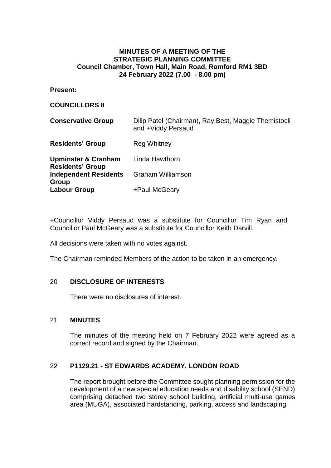## **MINUTES OF A MEETING OF THE STRATEGIC PLANNING COMMITTEE Council Chamber, Town Hall, Main Road, Romford RM1 3BD 24 February 2022 (7.00 - 8.00 pm)**

**Present:**

#### **COUNCILLORS 8**

| <b>Conservative Group</b>                                 | Dilip Patel (Chairman), Ray Best, Maggie Themistocli<br>and +Viddy Persaud |
|-----------------------------------------------------------|----------------------------------------------------------------------------|
| <b>Residents' Group</b>                                   | <b>Reg Whitney</b>                                                         |
| <b>Upminster &amp; Cranham</b><br><b>Residents' Group</b> | Linda Hawthorn                                                             |
| <b>Independent Residents</b><br>Group                     | <b>Graham Williamson</b>                                                   |
| <b>Labour Group</b>                                       | +Paul McGeary                                                              |

+Councillor Viddy Persaud was a substitute for Councillor Tim Ryan and Councillor Paul McGeary was a substitute for Councillor Keith Darvill.

All decisions were taken with no votes against.

The Chairman reminded Members of the action to be taken in an emergency.

### 20 **DISCLOSURE OF INTERESTS**

There were no disclosures of interest.

### 21 **MINUTES**

The minutes of the meeting held on 7 February 2022 were agreed as a correct record and signed by the Chairman.

### 22 **P1129.21 - ST EDWARDS ACADEMY, LONDON ROAD**

The report brought before the Committee sought planning permission for the development of a new special education needs and disability school (SEND) comprising detached two storey school building, artificial multi-use games area (MUGA), associated hardstanding, parking, access and landscaping.